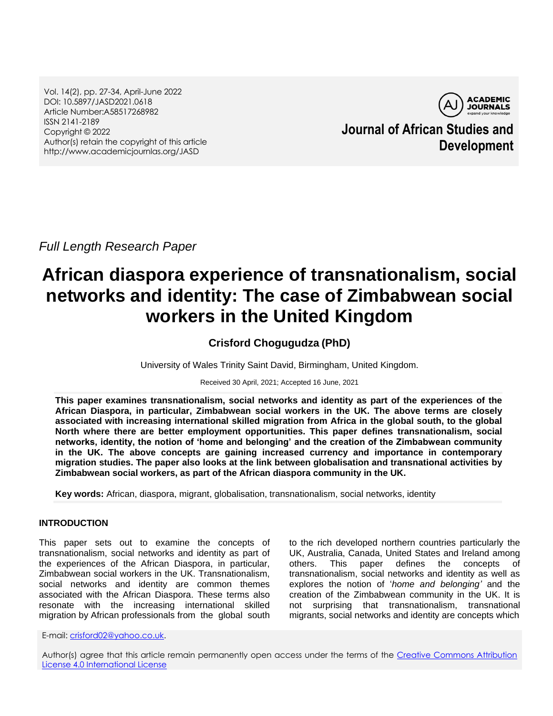Vol. 14(2), pp. 27-34, April-June 2022 DOI: 10.5897/JASD2021.0618 Article Number:A58517268982 ISSN 2141-2189 Copyright © 2022 Author(s) retain the copyright of this article http://www.academicjournlas.org/JASD



**Journal of African Studies and Development**

*Full Length Research Paper*

# **African diaspora experience of transnationalism, social networks and identity: The case of Zimbabwean social workers in the United Kingdom**

# **Crisford Chogugudza (PhD)**

University of Wales Trinity Saint David, Birmingham, United Kingdom.

Received 30 April, 2021; Accepted 16 June, 2021

**This paper examines transnationalism, social networks and identity as part of the experiences of the African Diaspora, in particular, Zimbabwean social workers in the UK. The above terms are closely associated with increasing international skilled migration from Africa in the global south, to the global North where there are better employment opportunities. This paper defines transnationalism, social networks, identity, the notion of 'home and belonging' and the creation of the Zimbabwean community in the UK. The above concepts are gaining increased currency and importance in contemporary migration studies. The paper also looks at the link between globalisation and transnational activities by Zimbabwean social workers, as part of the African diaspora community in the UK.**

**Key words:** African, diaspora, migrant, globalisation, transnationalism, social networks, identity

#### **INTRODUCTION**

This paper sets out to examine the concepts of transnationalism, social networks and identity as part of the experiences of the African Diaspora, in particular, Zimbabwean social workers in the UK. Transnationalism, social networks and identity are common themes associated with the African Diaspora. These terms also resonate with the increasing international skilled migration by African professionals from the global south

to the rich developed northern countries particularly the UK, Australia, Canada, United States and Ireland among others. This paper defines the concepts of transnationalism, social networks and identity as well as explores the notion of "*home and belonging'* and the creation of the Zimbabwean community in the UK. It is not surprising that transnationalism, transnational migrants, social networks and identity are concepts which

E-mail: [crisford02@yahoo.co.uk.](mailto:crisford02@yahoo.co.uk)

Author(s) agree that this article remain permanently open access under the terms of the Creative Commons Attribution [License 4.0 International License](http://creativecommons.org/licenses/by/4.0/deed.en_US)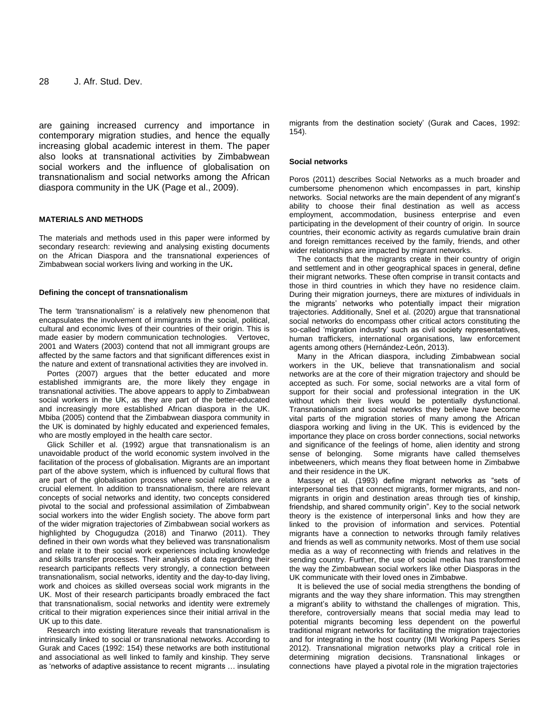are gaining increased currency and importance in contemporary migration studies, and hence the equally increasing global academic interest in them. The paper also looks at transnational activities by Zimbabwean social workers and the influence of globalisation on transnationalism and social networks among the African diaspora community in the UK (Page et al., 2009).

#### **MATERIALS AND METHODS**

The materials and methods used in this paper were informed by secondary research: reviewing and analysing existing documents on the African Diaspora and the transnational experiences of Zimbabwean social workers living and working in the UK**.**

#### **Defining the concept of transnationalism**

The term 'transnationalism' is a relatively new phenomenon that encapsulates the involvement of immigrants in the social, political, cultural and economic lives of their countries of their origin. This is made easier by modern communication technologies. Vertovec, 2001 and Waters (2003) contend that not all immigrant groups are affected by the same factors and that significant differences exist in the nature and extent of transnational activities they are involved in.

Portes (2007) argues that the better educated and more established immigrants are, the more likely they engage in transnational activities. The above appears to apply to Zimbabwean social workers in the UK, as they are part of the better-educated and increasingly more established African diaspora in the UK. Mbiba (2005) contend that the Zimbabwean diaspora community in the UK is dominated by highly educated and experienced females, who are mostly employed in the health care sector.

Glick Schiller et al. (1992) argue that transnationalism is an unavoidable product of the world economic system involved in the facilitation of the process of globalisation. Migrants are an important part of the above system, which is influenced by cultural flows that are part of the globalisation process where social relations are a crucial element. In addition to transnationalism, there are relevant concepts of social networks and identity, two concepts considered pivotal to the social and professional assimilation of Zimbabwean social workers into the wider English society. The above form part of the wider migration trajectories of Zimbabwean social workers as highlighted by Chogugudza (2018) and Tinarwo (2011). They defined in their own words what they believed was transnationalism and relate it to their social work experiences including knowledge and skills transfer processes. Their analysis of data regarding their research participants reflects very strongly, a connection between transnationalism, social networks, identity and the day-to-day living, work and choices as skilled overseas social work migrants in the UK. Most of their research participants broadly embraced the fact that transnationalism, social networks and identity were extremely critical to their migration experiences since their initial arrival in the UK up to this date.

Research into existing literature reveals that transnationalism is intrinsically linked to social or transnational networks. According to Gurak and Caces (1992: 154) these networks are both institutional and associational as well linked to family and kinship. They serve as "networks of adaptive assistance to recent migrants … insulating migrants from the destination society" (Gurak and Caces, 1992: 154).

#### **Social networks**

Poros (2011) describes Social Networks as a much broader and cumbersome phenomenon which encompasses in part, kinship networks. Social networks are the main dependent of any migrant"s ability to choose their final destination as well as access employment, accommodation, business enterprise and even participating in the development of their country of origin. In source countries, their economic activity as regards cumulative brain drain and foreign remittances received by the family, friends, and other wider relationships are impacted by migrant networks.

The contacts that the migrants create in their country of origin and settlement and in other geographical spaces in general, define their migrant networks. These often comprise in transit contacts and those in third countries in which they have no residence claim. During their migration journeys, there are mixtures of individuals in the migrants" networks who potentially impact their migration trajectories. Additionally, Snel et al. [\(2020\)](https://www.tandfonline.com/doi/full/10.1080/1369183X.2020.1804195) argue that transnational social networks do encompass other critical actors constituting the so-called "migration industry" such as civil society representatives, human traffickers, international organisations, law enforcement agents among others (Hernández-León, [2013\)](https://www.tandfonline.com/doi/full/10.1080/1369183X.2020.1804195).

Many in the African diaspora, including Zimbabwean social workers in the UK, believe that transnationalism and social networks are at the core of their migration trajectory and should be accepted as such. For some, social networks are a vital form of support for their social and professional integration in the UK without which their lives would be potentially dysfunctional. Transnationalism and social networks they believe have become vital parts of the migration stories of many among the African diaspora working and living in the UK. This is evidenced by the importance they place on cross border connections, social networks and significance of the feelings of home, alien identity and strong sense of belonging. Some migrants have called themselves inbetweeners, which means they float between home in Zimbabwe and their residence in the UK.

Massey et al. (1993) define migrant networks as "sets of interpersonal ties that connect migrants, former migrants, and nonmigrants in origin and destination areas through ties of kinship, friendship, and shared community origin". Key to the social network theory is the existence of interpersonal links and how they are linked to the provision of information and services. Potential migrants have a connection to networks through family relatives and friends as well as community networks. Most of them use social media as a way of reconnecting with friends and relatives in the sending country. Further, the use of social media has transformed the way the Zimbabwean social workers like other Diasporas in the UK communicate with their loved ones in Zimbabwe.

It is believed the use of social media strengthens the bonding of migrants and the way they share information. This may strengthen a migrant's ability to withstand the challenges of migration. This, therefore, controversially means that social media may lead to potential migrants becoming less dependent on the powerful traditional migrant networks for facilitating the migration trajectories and for integrating in the host country (IMI Working Papers Series 2012). Transnational migration networks play a critical role in determining migration decisions. Transnational linkages or connections have played a pivotal role in the migration trajectories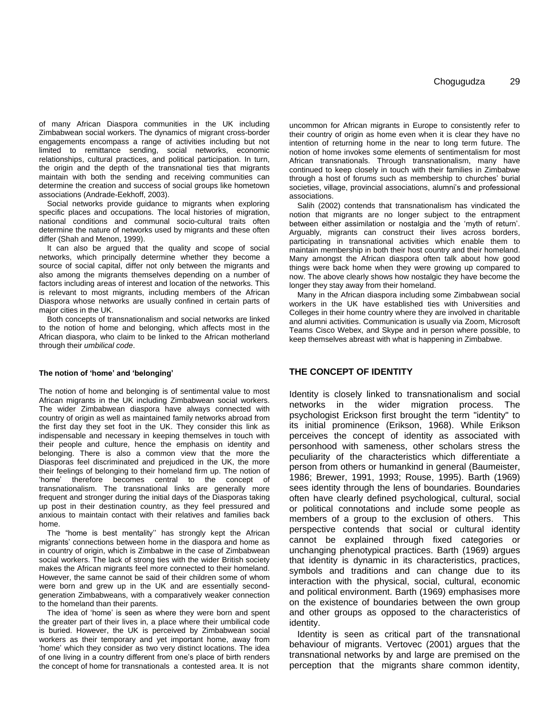of many African Diaspora communities in the UK including Zimbabwean social workers. The dynamics of migrant cross-border engagements encompass a range of activities including but not limited to remittance sending, social networks, economic relationships, cultural practices, and political participation. In turn, the origin and the depth of the transnational ties that migrants maintain with both the sending and receiving communities can determine the creation and success of social groups like hometown associations (Andrade-Eekhoff, 2003).

Social networks provide guidance to migrants when exploring specific places and occupations. The local histories of migration, national conditions and communal socio-cultural traits often determine the nature of networks used by migrants and these often differ (Shah and Menon, 1999).

It can also be argued that the quality and scope of social networks, which principally determine whether they become a source of social capital, differ not only between the migrants and also among the migrants themselves depending on a number of factors including areas of interest and location of the networks. This is relevant to most migrants, including members of the African Diaspora whose networks are usually confined in certain parts of major cities in the UK.

Both concepts of transnationalism and social networks are linked to the notion of home and belonging, which affects most in the African diaspora, who claim to be linked to the African motherland through their *umbilical code*.

#### **The notion of 'home' and 'belonging'**

The notion of home and belonging is of sentimental value to most African migrants in the UK including Zimbabwean social workers. The wider Zimbabwean diaspora have always connected with country of origin as well as maintained family networks abroad from the first day they set foot in the UK. They consider this link as indispensable and necessary in keeping themselves in touch with their people and culture, hence the emphasis on identity and belonging. There is also a common view that the more the Diasporas feel discriminated and prejudiced in the UK, the more their feelings of belonging to their homeland firm up. The notion of "home" therefore becomes central to the concept of transnationalism. The transnational links are generally more frequent and stronger during the initial days of the Diasporas taking up post in their destination country, as they feel pressured and anxious to maintain contact with their relatives and families back home.

The "home is best mentality" has strongly kept the African migrants" connections between home in the diaspora and home as in country of origin, which is Zimbabwe in the case of Zimbabwean social workers. The lack of strong ties with the wider British society makes the African migrants feel more connected to their homeland. However, the same cannot be said of their children some of whom were born and grew up in the UK and are essentially secondgeneration Zimbabweans, with a comparatively weaker connection to the homeland than their parents.

The idea of "home" is seen as where they were born and spent the greater part of their lives in, a place where their umbilical code is buried. However, the UK is perceived by Zimbabwean social workers as their temporary and yet important home, away from "home" which they consider as two very distinct locations. The idea of one living in a country different from one"s place of birth renders the concept of home for transnationals a contested area. It is not

uncommon for African migrants in Europe to consistently refer to their country of origin as home even when it is clear they have no intention of returning home in the near to long term future. The notion of home invokes some elements of sentimentalism for most African transnationals. Through transnationalism, many have continued to keep closely in touch with their families in Zimbabwe through a host of forums such as membership to churches" burial societies, village, provincial associations, alumni's and professional associations.

Salih (2002) contends that transnationalism has vindicated the notion that migrants are no longer subject to the entrapment between either assimilation or nostalgia and the "myth of return". Arguably, migrants can construct their lives across borders, participating in transnational activities which enable them to maintain membership in both their host country and their homeland. Many amongst the African diaspora often talk about how good things were back home when they were growing up compared to now. The above clearly shows how nostalgic they have become the longer they stay away from their homeland.

Many in the African diaspora including some Zimbabwean social workers in the UK have established ties with Universities and Colleges in their home country where they are involved in charitable and alumni activities. Communication is usually via Zoom, Microsoft Teams Cisco Webex, and Skype and in person where possible, to keep themselves abreast with what is happening in Zimbabwe.

#### **THE CONCEPT OF IDENTITY**

Identity is closely linked to transnationalism and social networks in the wider migration process. The psychologist Erickson first brought the term "identity" to its initial prominence (Erikson, 1968). While Erikson perceives the concept of identity as associated with personhood with sameness, other scholars stress the peculiarity of the characteristics which differentiate a person from others or humankind in general (Baumeister, 1986; Brewer, 1991, 1993; Rouse, 1995). Barth (1969) sees identity through the lens of boundaries. Boundaries often have clearly defined psychological, cultural, social or political connotations and include some people as members of a group to the exclusion of others. This perspective contends that social or cultural identity cannot be explained through fixed categories or unchanging phenotypical practices. Barth (1969) argues that identity is dynamic in its characteristics, practices, symbols and traditions and can change due to its interaction with the physical, social, cultural, economic and political environment. Barth (1969) emphasises more on the existence of boundaries between the own group and other groups as opposed to the characteristics of identity.

Identity is seen as critical part of the transnational behaviour of migrants. Vertovec (2001) argues that the transnational networks by and large are premised on the perception that the migrants share common identity,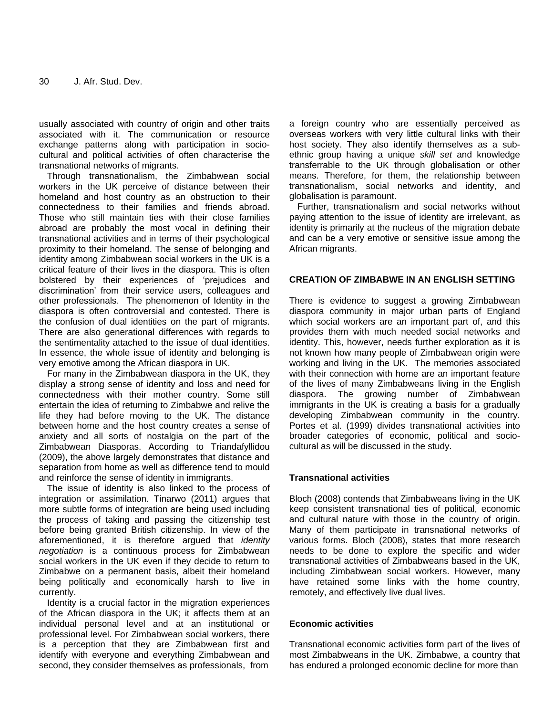usually associated with country of origin and other traits associated with it. The communication or resource exchange patterns along with participation in sociocultural and political activities of often characterise the transnational networks of migrants.

Through transnationalism, the Zimbabwean social workers in the UK perceive of distance between their homeland and host country as an obstruction to their connectedness to their families and friends abroad. Those who still maintain ties with their close families abroad are probably the most vocal in defining their transnational activities and in terms of their psychological proximity to their homeland. The sense of belonging and identity among Zimbabwean social workers in the UK is a critical feature of their lives in the diaspora. This is often bolstered by their experiences of "prejudices and discrimination" from their service users, colleagues and other professionals. The phenomenon of Identity in the diaspora is often controversial and contested. There is the confusion of dual identities on the part of migrants. There are also generational differences with regards to the sentimentality attached to the issue of dual identities. In essence, the whole issue of identity and belonging is very emotive among the African diaspora in UK.

For many in the Zimbabwean diaspora in the UK, they display a strong sense of identity and loss and need for connectedness with their mother country. Some still entertain the idea of returning to Zimbabwe and relive the life they had before moving to the UK. The distance between home and the host country creates a sense of anxiety and all sorts of nostalgia on the part of the Zimbabwean Diasporas. According to Triandafyllidou (2009), the above largely demonstrates that distance and separation from home as well as difference tend to mould and reinforce the sense of identity in immigrants.

The issue of identity is also linked to the process of integration or assimilation. Tinarwo (2011) argues that more subtle forms of integration are being used including the process of taking and passing the citizenship test before being granted British citizenship. In view of the aforementioned, it is therefore argued that *identity negotiation* is a continuous process for Zimbabwean social workers in the UK even if they decide to return to Zimbabwe on a permanent basis, albeit their homeland being politically and economically harsh to live in currently.

Identity is a crucial factor in the migration experiences of the African diaspora in the UK; it affects them at an individual personal level and at an institutional or professional level. For Zimbabwean social workers, there is a perception that they are Zimbabwean first and identify with everyone and everything Zimbabwean and second, they consider themselves as professionals, from

a foreign country who are essentially perceived as overseas workers with very little cultural links with their host society. They also identify themselves as a subethnic group having a unique *skill set* and knowledge transferrable to the UK through globalisation or other means. Therefore, for them, the relationship between transnationalism, social networks and identity, and globalisation is paramount.

Further, transnationalism and social networks without paying attention to the issue of identity are irrelevant, as identity is primarily at the nucleus of the migration debate and can be a very emotive or sensitive issue among the African migrants.

#### **CREATION OF ZIMBABWE IN AN ENGLISH SETTING**

There is evidence to suggest a growing Zimbabwean diaspora community in major urban parts of England which social workers are an important part of, and this provides them with much needed social networks and identity. This, however, needs further exploration as it is not known how many people of Zimbabwean origin were working and living in the UK. The memories associated with their connection with home are an important feature of the lives of many Zimbabweans living in the English diaspora. The growing number of Zimbabwean immigrants in the UK is creating a basis for a gradually developing Zimbabwean community in the country. Portes et al. (1999) divides transnational activities into broader categories of economic, political and sociocultural as will be discussed in the study.

#### **Transnational activities**

Bloch (2008) contends that Zimbabweans living in the UK keep consistent transnational ties of political, economic and cultural nature with those in the country of origin. Many of them participate in transnational networks of various forms. Bloch (2008), states that more research needs to be done to explore the specific and wider transnational activities of Zimbabweans based in the UK, including Zimbabwean social workers. However, many have retained some links with the home country, remotely, and effectively live dual lives.

#### **Economic activities**

Transnational economic activities form part of the lives of most Zimbabweans in the UK. Zimbabwe, a country that has endured a prolonged economic decline for more than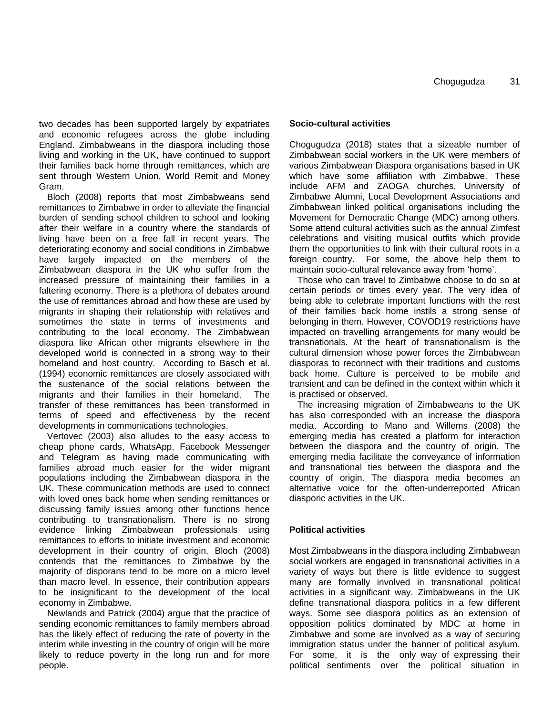two decades has been supported largely by expatriates and economic refugees across the globe including England. Zimbabweans in the diaspora including those living and working in the UK, have continued to support their families back home through remittances, which are sent through Western Union, World Remit and Money Gram.

Bloch (2008) reports that most Zimbabweans send remittances to Zimbabwe in order to alleviate the financial burden of sending school children to school and looking after their welfare in a country where the standards of living have been on a free fall in recent years. The deteriorating economy and social conditions in Zimbabwe have largely impacted on the members of the Zimbabwean diaspora in the UK who suffer from the increased pressure of maintaining their families in a faltering economy. There is a plethora of debates around the use of remittances abroad and how these are used by migrants in shaping their relationship with relatives and sometimes the state in terms of investments and contributing to the local economy. The Zimbabwean diaspora like African other migrants elsewhere in the developed world is connected in a strong way to their homeland and host country. According to Basch et al. (1994) economic remittances are closely associated with the sustenance of the social relations between the migrants and their families in their homeland. The transfer of these remittances has been transformed in terms of speed and effectiveness by the recent developments in communications technologies.

Vertovec (2003) also alludes to the easy access to cheap phone cards, WhatsApp, Facebook Messenger and Telegram as having made communicating with families abroad much easier for the wider migrant populations including the Zimbabwean diaspora in the UK. These communication methods are used to connect with loved ones back home when sending remittances or discussing family issues among other functions hence contributing to transnationalism. There is no strong evidence linking Zimbabwean professionals using remittances to efforts to initiate investment and economic development in their country of origin. Bloch (2008) contends that the remittances to Zimbabwe by the majority of disporans tend to be more on a micro level than macro level. In essence, their contribution appears to be insignificant to the development of the local economy in Zimbabwe.

Newlands and Patrick (2004) argue that the practice of sending economic remittances to family members abroad has the likely effect of reducing the rate of poverty in the interim while investing in the country of origin will be more likely to reduce poverty in the long run and for more people.

#### **Socio-cultural activities**

Chogugudza (2018) states that a sizeable number of Zimbabwean social workers in the UK were members of various Zimbabwean Diaspora organisations based in UK which have some affiliation with Zimbabwe. These include AFM and ZAOGA churches, University of Zimbabwe Alumni, Local Development Associations and Zimbabwean linked political organisations including the Movement for Democratic Change (MDC) among others. Some attend cultural activities such as the annual Zimfest celebrations and visiting musical outfits which provide them the opportunities to link with their cultural roots in a foreign country. For some, the above help them to maintain socio-cultural relevance away from "home".

Those who can travel to Zimbabwe choose to do so at certain periods or times every year. The very idea of being able to celebrate important functions with the rest of their families back home instils a strong sense of belonging in them. However, COVOD19 restrictions have impacted on travelling arrangements for many would be transnationals. At the heart of transnationalism is the cultural dimension whose power forces the Zimbabwean diasporas to reconnect with their traditions and customs back home. Culture is perceived to be mobile and transient and can be defined in the context within which it is practised or observed.

The increasing migration of Zimbabweans to the UK has also corresponded with an increase the diaspora media. According to Mano and Willems (2008) the emerging media has created a platform for interaction between the diaspora and the country of origin. The emerging media facilitate the conveyance of information and transnational ties between the diaspora and the country of origin. The diaspora media becomes an alternative voice for the often-underreported African diasporic activities in the UK.

#### **Political activities**

Most Zimbabweans in the diaspora including Zimbabwean social workers are engaged in transnational activities in a variety of ways but there is little evidence to suggest many are formally involved in transnational political activities in a significant way. Zimbabweans in the UK define transnational diaspora politics in a few different ways. Some see diaspora politics as an extension of opposition politics dominated by MDC at home in Zimbabwe and some are involved as a way of securing immigration status under the banner of political asylum. For some, it is the only way of expressing their political sentiments over the political situation in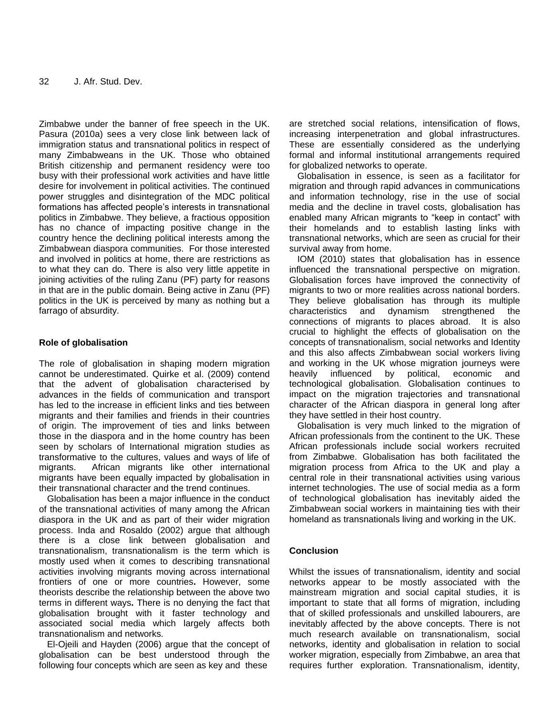Zimbabwe under the banner of free speech in the UK. Pasura (2010a) sees a very close link between lack of immigration status and transnational politics in respect of many Zimbabweans in the UK. Those who obtained British citizenship and permanent residency were too busy with their professional work activities and have little desire for involvement in political activities. The continued power struggles and disintegration of the MDC political formations has affected people"s interests in transnational politics in Zimbabwe. They believe, a fractious opposition has no chance of impacting positive change in the country hence the declining political interests among the Zimbabwean diaspora communities. For those interested and involved in politics at home, there are restrictions as to what they can do. There is also very little appetite in joining activities of the ruling Zanu (PF) party for reasons in that are in the public domain. Being active in Zanu (PF) politics in the UK is perceived by many as nothing but a farrago of absurdity.

## **Role of globalisation**

The role of globalisation in shaping modern migration cannot be underestimated. Quirke et al. (2009) contend that the advent of globalisation characterised by advances in the fields of communication and transport has led to the increase in efficient links and ties between migrants and their families and friends in their countries of origin. The improvement of ties and links between those in the diaspora and in the home country has been seen by scholars of International migration studies as transformative to the cultures, values and ways of life of migrants. African migrants like other international migrants have been equally impacted by globalisation in their transnational character and the trend continues.

Globalisation has been a major influence in the conduct of the transnational activities of many among the African diaspora in the UK and as part of their wider migration process. Inda and Rosaldo (2002) argue that although there is a close link between globalisation and transnationalism, transnationalism is the term which is mostly used when it comes to describing transnational activities involving migrants moving across international frontiers of one or more countries**.** However, some theorists describe the relationship between the above two terms in different ways**.** There is no denying the fact that globalisation brought with it faster technology and associated social media which largely affects both transnationalism and networks.

El-Ojeili and Hayden (2006) argue that the concept of globalisation can be best understood through the following four concepts which are seen as key and these

are stretched social relations, intensification of flows, increasing interpenetration and global infrastructures. These are essentially considered as the underlying formal and informal institutional arrangements required for globalized networks to operate.

Globalisation in essence, is seen as a facilitator for migration and through rapid advances in communications and information technology, rise in the use of social media and the decline in travel costs, globalisation has enabled many African migrants to "keep in contact" with their homelands and to establish lasting links with transnational networks, which are seen as crucial for their survival away from home.

IOM (2010) states that globalisation has in essence influenced the transnational perspective on migration. Globalisation forces have improved the connectivity of migrants to two or more realities across national borders. They believe globalisation has through its multiple characteristics and dynamism strengthened the connections of migrants to places abroad. It is also crucial to highlight the effects of globalisation on the concepts of transnationalism, social networks and Identity and this also affects Zimbabwean social workers living and working in the UK whose migration journeys were heavily influenced by political, economic and technological globalisation. Globalisation continues to impact on the migration trajectories and transnational character of the African diaspora in general long after they have settled in their host country.

Globalisation is very much linked to the migration of African professionals from the continent to the UK. These African professionals include social workers recruited from Zimbabwe. Globalisation has both facilitated the migration process from Africa to the UK and play a central role in their transnational activities using various internet technologies. The use of social media as a form of technological globalisation has inevitably aided the Zimbabwean social workers in maintaining ties with their homeland as transnationals living and working in the UK.

### **Conclusion**

Whilst the issues of transnationalism, identity and social networks appear to be mostly associated with the mainstream migration and social capital studies, it is important to state that all forms of migration, including that of skilled professionals and unskilled labourers, are inevitably affected by the above concepts. There is not much research available on transnationalism, social networks, identity and globalisation in relation to social worker migration, especially from Zimbabwe, an area that requires further exploration. Transnationalism, identity,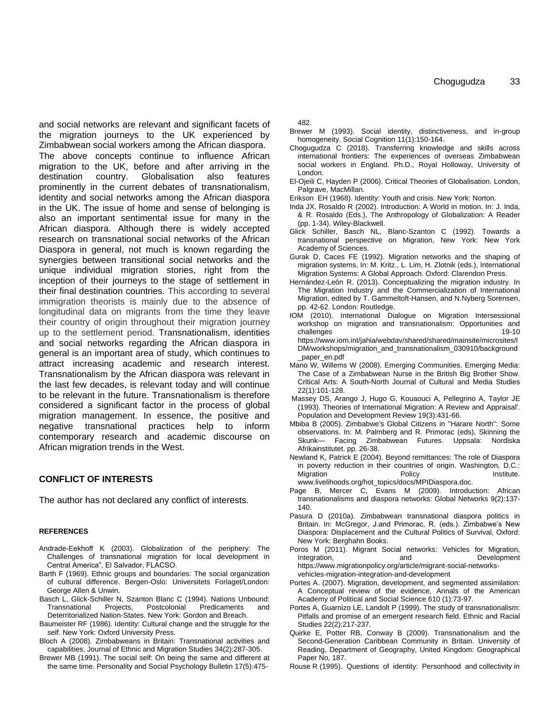and social networks are relevant and significant facets of the migration journeys to the UK experienced by Zimbabwean social workers among the African diaspora. The above concepts continue to influence African migration to the UK, before and after arriving in the destination country. Globalisation also features prominently in the current debates of transnationalism, identity and social networks among the African diaspora in the UK. The issue of home and sense of belonging is also an important sentimental issue for many in the African diaspora. Although there is widely accepted research on transnational social networks of the African Diaspora in general, not much is known regarding the synergies between transitional social networks and the unique individual migration stories, right from the inception of their journeys to the stage of settlement in their final destination countries. This according to several immigration theorists is mainly due to the absence of longitudinal data on migrants from the time they leave their country of origin throughout their migration journey up to the settlement period. Transnationalism, identities and social networks regarding the African diaspora in general is an important area of study, which continues to attract increasing academic and research interest. Transnationalism by the African diaspora was relevant in the last few decades, is relevant today and will continue to be relevant in the future. Transnationalism is therefore considered a significant factor in the process of global migration management. In essence, the positive and negative transnational practices help to inform contemporary research and academic discourse on African migration trends in the West.

#### **CONFLICT OF INTERESTS**

The author has not declared any conflict of interests.

#### **REFERENCES**

- Andrade-Eekhoff K (2003). Globalization of the periphery: The Challenges of transnational migration for local development in Central America", El Salvador, FLACSO.
- Barth F (1969). Ethnic groups and boundaries: The social organization of cultural difference. Bergen-Oslo: Universitets Forlaget/London: George Allen & Unwin.
- Basch L, Glick-Schiller N, Szanton Blanc C (1994). Nations Unbound: Transnational Projects, Postcolonial Predicaments and Deterritorialized Nation-States. New York: Gordon and Breach.
- Baumeister RF (1986). Identity: Cultural change and the struggle for the self. New York: Oxford University Press.
- Bloch A (2008). Zimbabweans in Britain: Transnational activities and capabilities. Journal of Ethnic and Migration Studies 34(2):287-305.
- Brewer MB (1991). The social self: On being the same and different at the same time. Personality and Social Psychology Bulletin 17(5):475-

482.

- Brewer M (1993). Social identity, distinctiveness, and in-group homogeneity. Social Cognition 11(1):150-164.
- Chogugudza C (2018). Transferring knowledge and skills across international frontiers: The experiences of overseas Zimbabwean social workers in England. Ph.D., Royal Holloway, University of London.
- El-Ojeili C, Hayden P (2006). Critical Theories of Globalisation. London, Palgrave, MacMillan.
- Erikson EH (1968). Identity: Youth and crisis. New York: Norton.
- Inda JX, Rosaldo R (2002). Introduction: A World in motion. In: J. Inda, & R. Rosaldo (Eds.), The Anthropology of Globalization: A Reader (pp. 1-34). Wiley-Blackwell.
- Glick Schiller, Basch NL, Blanc-Szanton C (1992). Towards a transnational perspective on Migration, New York: New York Academy of Sciences.
- Gurak D, Caces FE (1992). Migration networks and the shaping of migration systems, In: M. Kritz., L. Lim, H. Zlotnik (eds.), International Migration Systems: A Global Approach. Oxford: Clarendon Press.
- Hernández-León R. (2013). Conceptualizing the migration industry. In The Migration Industry and the Commercialization of International Migration, edited by T. Gammeltoft-Hansen, and N.Nyberg Sorensen, pp. 42-62. London: Routledge.
- IOM (2010). International Dialogue on Migration Intersessional workshop on migration and transnationalism: Opportunities and<br>challenges 19-10 challenges https://www.iom.int/jahia/webdav/shared/shared/mainsite/microsites/I
- DM/workshops/migration\_and\_transnationalism\_030910/background \_paper\_en.pdf
- Mano W, Willems W (2008). Emerging Communities, Emerging Media: The Case of a Zimbabwean Nurse in the British Big Brother Show. Critical Arts: A South-North Journal of Cultural and Media Studies 22(1):101-128.
- Massey DS, Arango J, Hugo G, Kouaouci A, Pellegrino A, Taylor JE (1993). Theories of International Migration: A Review and Appraisal'. Population and Development Review 19(3):431-66.
- Mbiba B (2005). Zimbabwe's Global Citizens in ''Harare North'': Some observations. In: M. Palmberg and R. Primorac (eds), Skinning the Skunk— Facing Zimbabwean Futures. Uppsala: Nordiska Afrikainstitutet. pp. 26-38.
- Newland K, Patrick E (2004). Beyond remittances: The role of Diaspora in poverty reduction in their countries of origin. Washington, D.C.: Migration **Policy** Policy **Institute.**

www.livelihoods.org/hot\_topics/docs/MPIDiaspora.doc.

- Page B, Mercer C, Evans M (2009). Introduction: African transnationalisms and diaspora networks: Global Networks 9(2):137- 140.
- Pasura D (2010a). Zimbabwean transnational diaspora politics in Britain. In: McGregor, J.and Primorac, R. (eds.). Zimbabwe's New Diaspora: Displacement and the Cultural Politics of Survival, Oxford: New York: Berghahn Books.
- Poros M (2011). Migrant Social networks: Vehicles for Migration, Integration, and and Development https://www.migrationpolicy.org/article/migrant-social-networksvehicles-migration-integration-and-development
- Portes A. (2007). Migration, development, and segmented assimilation: A Conceptual review of the evidence, Annals of the American Academy of Political and Social Science 610 (1):73-97.
- Portes A, Guarnizo LE, Landolt P (1999). The study of transnationalism: Pitfalls and promise of an emergent research field. Ethnic and Racial Studies 22(2):217-237.
- Quirke E, Potter RB, Conway B (2009). Transnationalism and the Second-Generation Caribbean Community in Britain. University of Reading, Department of Geography, United Kingdom: Geographical Paper No, 187.
- Rouse R (1995). Questions of identity: Personhood and collectivity in